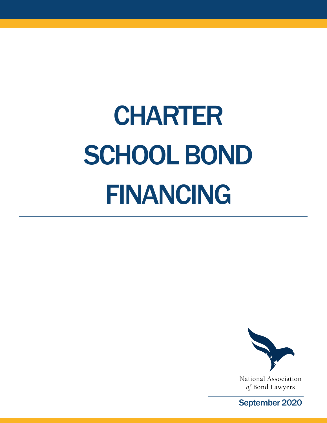# CHARTER SCHOOL BOND FINANCING



National Association of Bond Lawyers

September 2020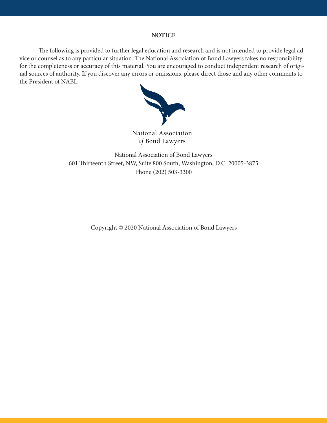### **NOTICE**

The following is provided to further legal education and research and is not intended to provide legal advice or counsel as to any particular situation. The National Association of Bond Lawyers takes no responsibility for the completeness or accuracy of this material. You are encouraged to conduct independent research of original sources of authority. If you discover any errors or omissions, please direct those and any other comments to the President of NABL.



National Association of Bond Lawyers

National Association of Bond Lawyers 601 Thirteenth Street, NW, Suite 800 South, Washington, D.C. 20005-3875 Phone (202) 503-3300

Copyright © 2020 National Association of Bond Lawyers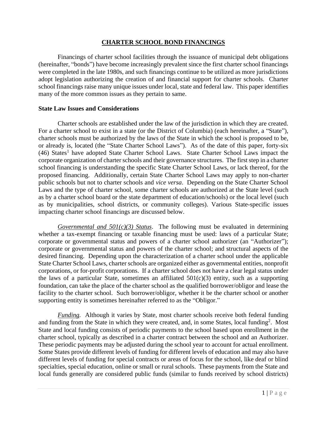### **CHARTER SCHOOL BOND FINANCINGS**

Financings of charter school facilities through the issuance of municipal debt obligations (hereinafter, "bonds") have become increasingly prevalent since the first charter school financings were completed in the late 1980s, and such financings continue to be utilized as more jurisdictions adopt legislation authorizing the creation of and financial support for charter schools. Charter school financings raise many unique issues under local, state and federal law. This paper identifies many of the more common issues as they pertain to same.

### **State Law Issues and Considerations**

Charter schools are established under the law of the jurisdiction in which they are created. For a charter school to exist in a state (or the District of Columbia) (each hereinafter, a "State"), charter schools must be authorized by the laws of the State in which the school is proposed to be, or already is, located (the "State Charter School Laws"). As of the date of this paper, forty-six (46) States<sup>1</sup> have adopted State Charter School Laws. State Charter School Laws impact the corporate organization of charter schools and their governance structures. The first step in a charter school financing is understanding the specific State Charter School Laws, or lack thereof, for the proposed financing. Additionally, certain State Charter School Laws may apply to non-charter public schools but not to charter schools and *vice versa*. Depending on the State Charter School Laws and the type of charter school, some charter schools are authorized at the State level (such as by a charter school board or the state department of education/schools) or the local level (such as by municipalities, school districts, or community colleges). Various State-specific issues impacting charter school financings are discussed below.

*Governmental and 501(c)(3) Status*. The following must be evaluated in determining whether a tax-exempt financing or taxable financing must be used: laws of a particular State; corporate or governmental status and powers of a charter school authorizer (an "Authorizer"); corporate or governmental status and powers of the charter school; and structural aspects of the desired financing. Depending upon the characterization of a charter school under the applicable State Charter School Laws, charter schools are organized either as governmental entities, nonprofit corporations, or for-profit corporations. If a charter school does not have a clear legal status under the laws of a particular State, sometimes an affiliated  $501(c)(3)$  entity, such as a supporting foundation, can take the place of the charter school as the qualified borrower/obligor and lease the facility to the charter school. Such borrower/obligor, whether it be the charter school or another supporting entity is sometimes hereinafter referred to as the "Obligor."

*Funding.* Although it varies by State, most charter schools receive both federal funding and funding from the State in which they were created, and, in some States, local funding<sup>2</sup>. Most State and local funding consists of periodic payments to the school based upon enrollment in the charter school, typically as described in a charter contract between the school and an Authorizer. These periodic payments may be adjusted during the school year to account for actual enrollment. Some States provide different levels of funding for different levels of education and may also have different levels of funding for special contracts or areas of focus for the school, like deaf or blind specialties, special education, online or small or rural schools. These payments from the State and local funds generally are considered public funds (similar to funds received by school districts)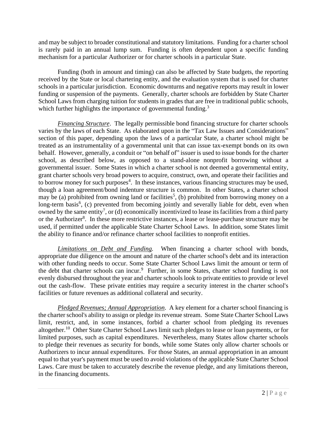and may be subject to broader constitutional and statutory limitations. Funding for a charter school is rarely paid in an annual lump sum. Funding is often dependent upon a specific funding mechanism for a particular Authorizer or for charter schools in a particular State.

Funding (both in amount and timing) can also be affected by State budgets, the reporting received by the State or local chartering entity, and the evaluation system that is used for charter schools in a particular jurisdiction. Economic downturns and negative reports may result in lower funding or suspension of the payments. Generally, charter schools are forbidden by State Charter School Laws from charging tuition for students in grades that are free in traditional public schools, which further highlights the importance of governmental funding. $3$ 

*Financing Structure*. The legally permissible bond financing structure for charter schools varies by the laws of each State. As elaborated upon in the "Tax Law Issues and Considerations" section of this paper, depending upon the laws of a particular State, a charter school might be treated as an instrumentality of a governmental unit that can issue tax-exempt bonds on its own behalf. However, generally, a conduit or "on behalf of" issuer is used to issue bonds for the charter school, as described below, as opposed to a stand-alone nonprofit borrowing without a governmental issuer. Some States in which a charter school is not deemed a governmental entity, grant charter schools very broad powers to acquire, construct, own, and operate their facilities and to borrow money for such purposes<sup>4</sup>. In these instances, various financing structures may be used, though a loan agreement/bond indenture structure is common. In other States, a charter school may be (a) prohibited from owning land or facilities<sup>5</sup>, (b) prohibited from borrowing money on a long-term basis<sup>6</sup>, (c) prevented from becoming jointly and severally liable for debt, even when owned by the same entity<sup>7</sup>, or (d) economically incentivized to lease its facilities from a third party or the Authorizer<sup>8</sup>. In these more restrictive instances, a lease or lease-purchase structure may be used, if permitted under the applicable State Charter School Laws. In addition, some States limit the ability to finance and/or refinance charter school facilities to nonprofit entities.

*Limitations on Debt and Funding.* When financing a charter school with bonds, appropriate due diligence on the amount and nature of the charter school's debt and its interaction with other funding needs to occur. Some State Charter School Laws limit the amount or term of the debt that charter schools can incur.<sup>9</sup> Further, in some States, charter school funding is not evenly disbursed throughout the year and charter schools look to private entities to provide or level out the cash-flow. These private entities may require a security interest in the charter school's facilities or future revenues as additional collateral and security.

*Pledged Revenues; Annual Appropriation*. A key element for a charter school financing is the charter school's ability to assign or pledge its revenue stream. Some State Charter School Laws limit, restrict, and, in some instances, forbid a charter school from pledging its revenues altogether.<sup>10</sup> Other State Charter School Laws limit such pledges to lease or loan payments, or for limited purposes, such as capital expenditures. Nevertheless, many States allow charter schools to pledge their revenues as security for bonds, while some States only allow charter schools or Authorizers to incur annual expenditures. For those States, an annual appropriation in an amount equal to that year's payment must be used to avoid violations of the applicable State Charter School Laws. Care must be taken to accurately describe the revenue pledge, and any limitations thereon, in the financing documents.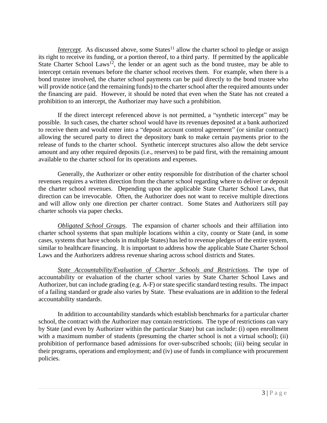*Intercept*. As discussed above, some States<sup>11</sup> allow the charter school to pledge or assign its right to receive its funding, or a portion thereof, to a third party. If permitted by the applicable State Charter School Laws<sup>12</sup>, the lender or an agent such as the bond trustee, may be able to intercept certain revenues before the charter school receives them. For example, when there is a bond trustee involved, the charter school payments can be paid directly to the bond trustee who will provide notice (and the remaining funds) to the charter school after the required amounts under the financing are paid. However, it should be noted that even when the State has not created a prohibition to an intercept, the Authorizer may have such a prohibition.

If the direct intercept referenced above is not permitted, a "synthetic intercept" may be possible. In such cases, the charter school would have its revenues deposited at a bank authorized to receive them and would enter into a "deposit account control agreement" (or similar contract) allowing the secured party to direct the depository bank to make certain payments prior to the release of funds to the charter school. Synthetic intercept structures also allow the debt service amount and any other required deposits (i.e., reserves) to be paid first, with the remaining amount available to the charter school for its operations and expenses.

Generally, the Authorizer or other entity responsible for distribution of the charter school revenues requires a written direction from the charter school regarding where to deliver or deposit the charter school revenues. Depending upon the applicable State Charter School Laws, that direction can be irrevocable. Often, the Authorizer does not want to receive multiple directions and will allow only one direction per charter contract. Some States and Authorizers still pay charter schools via paper checks.

*Obligated School Groups*. The expansion of charter schools and their affiliation into charter school systems that span multiple locations within a city, county or State (and, in some cases, systems that have schools in multiple States) has led to revenue pledges of the entire system, similar to healthcare financing. It is important to address how the applicable State Charter School Laws and the Authorizers address revenue sharing across school districts and States.

*State Accountability/Evaluation of Charter Schools and Restrictions*. The type of accountability or evaluation of the charter school varies by State Charter School Laws and Authorizer, but can include grading (e.g. A-F) or state specific standard testing results. The impact of a failing standard or grade also varies by State. These evaluations are in addition to the federal accountability standards.

In addition to accountability standards which establish benchmarks for a particular charter school, the contract with the Authorizer may contain restrictions. The type of restrictions can vary by State (and even by Authorizer within the particular State) but can include: (i) open enrollment with a maximum number of students (presuming the charter school is not a virtual school); (ii) prohibition of performance based admissions for over-subscribed schools; (iii) being secular in their programs, operations and employment; and (iv) use of funds in compliance with procurement policies.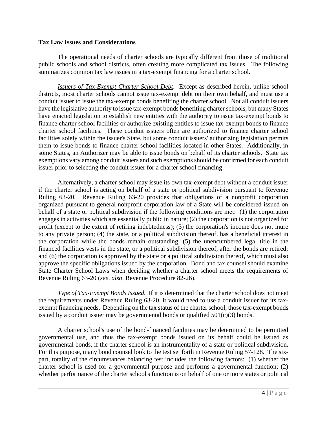### **Tax Law Issues and Considerations**

The operational needs of charter schools are typically different from those of traditional public schools and school districts, often creating more complicated tax issues. The following summarizes common tax law issues in a tax-exempt financing for a charter school.

*Issuers of Tax-Exempt Charter School Debt*. Except as described herein, unlike school districts, most charter schools cannot issue tax-exempt debt on their own behalf, and must use a conduit issuer to issue the tax-exempt bonds benefiting the charter school. Not all conduit issuers have the legislative authority to issue tax-exempt bonds benefiting charter schools, but many States have enacted legislation to establish new entities with the authority to issue tax-exempt bonds to finance charter school facilities or authorize existing entities to issue tax-exempt bonds to finance charter school facilities. These conduit issuers often are authorized to finance charter school facilities solely within the issuer's State, but some conduit issuers' authorizing legislation permits them to issue bonds to finance charter school facilities located in other States. Additionally, in some States, an Authorizer may be able to issue bonds on behalf of its charter schools. State tax exemptions vary among conduit issuers and such exemptions should be confirmed for each conduit issuer prior to selecting the conduit issuer for a charter school financing.

Alternatively, a charter school may issue its own tax-exempt debt without a conduit issuer if the charter school is acting on behalf of a state or political subdivision pursuant to Revenue Ruling 63-20. Revenue Ruling 63-20 provides that obligations of a nonprofit corporation organized pursuant to general nonprofit corporation law of a State will be considered issued on behalf of a state or political subdivision if the following conditions are met: (1) the corporation engages in activities which are essentially public in nature; (2) the corporation is not organized for profit (except to the extent of retiring indebtedness); (3) the corporation's income does not inure to any private person; (4) the state, or a political subdivision thereof, has a beneficial interest in the corporation while the bonds remain outstanding; (5) the unencumbered legal title in the financed facilities vests in the state, or a political subdivision thereof, after the bonds are retired; and (6) the corporation is approved by the state or a political subdivision thereof, which must also approve the specific obligations issued by the corporation. Bond and tax counsel should examine State Charter School Laws when deciding whether a charter school meets the requirements of Revenue Ruling 63-20 (*see, also,* Revenue Procedure 82-26).

*Type of Tax-Exempt Bonds Issued.* If it is determined that the charter school does not meet the requirements under Revenue Ruling 63-20, it would need to use a conduit issuer for its taxexempt financing needs. Depending on the tax status of the charter school, those tax-exempt bonds issued by a conduit issuer may be governmental bonds or qualified  $501(c)(3)$  bonds.

A charter school's use of the bond-financed facilities may be determined to be permitted governmental use, and thus the tax-exempt bonds issued on its behalf could be issued as governmental bonds, if the charter school is an instrumentality of a state or political subdivision. For this purpose, many bond counsel look to the test set forth in Revenue Ruling 57-128. The sixpart, totality of the circumstances balancing test includes the following factors: (1) whether the charter school is used for a governmental purpose and performs a governmental function; (2) whether performance of the charter school's function is on behalf of one or more states or political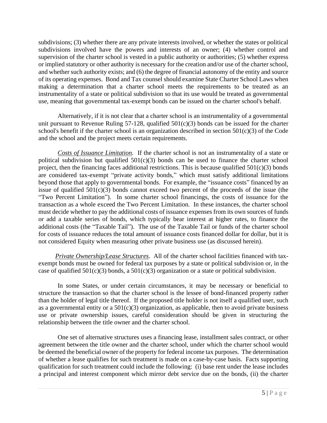subdivisions; (3) whether there are any private interests involved, or whether the states or political subdivisions involved have the powers and interests of an owner; (4) whether control and supervision of the charter school is vested in a public authority or authorities; (5) whether express or implied statutory or other authority is necessary for the creation and/or use of the charter school, and whether such authority exists; and (6) the degree of financial autonomy of the entity and source of its operating expenses. Bond and Tax counsel should examine State Charter School Laws when making a determination that a charter school meets the requirements to be treated as an instrumentality of a state or political subdivision so that its use would be treated as governmental use, meaning that governmental tax-exempt bonds can be issued on the charter school's behalf.

Alternatively, if it is not clear that a charter school is an instrumentality of a governmental unit pursuant to Revenue Ruling 57-128, qualified 501(c)(3) bonds can be issued for the charter school's benefit if the charter school is an organization described in section  $501(c)(3)$  of the Code and the school and the project meets certain requirements.

*Costs of Issuance Limitation.* If the charter school is not an instrumentality of a state or political subdivision but qualified  $501(c)(3)$  bonds can be used to finance the charter school project, then the financing faces additional restrictions. This is because qualified  $501(c)(3)$  bonds are considered tax-exempt "private activity bonds," which must satisfy additional limitations beyond those that apply to governmental bonds. For example, the "issuance costs" financed by an issue of qualified  $501(c)(3)$  bonds cannot exceed two percent of the proceeds of the issue (the "Two Percent Limitation"). In some charter school financings, the costs of issuance for the transaction as a whole exceed the Two Percent Limitation. In these instances, the charter school must decide whether to pay the additional costs of issuance expenses from its own sources of funds or add a taxable series of bonds, which typically bear interest at higher rates, to finance the additional costs (the "Taxable Tail"). The use of the Taxable Tail or funds of the charter school for costs of issuance reduces the total amount of issuance costs financed dollar for dollar, but it is not considered Equity when measuring other private business use (as discussed herein).

*Private Ownership/Lease Structures*. All of the charter school facilities financed with taxexempt bonds must be owned for federal tax purposes by a state or political subdivision or, in the case of qualified  $501(c)(3)$  bonds, a  $501(c)(3)$  organization or a state or political subdivision.

In some States, or under certain circumstances, it may be necessary or beneficial to structure the transaction so that the charter school is the lessee of bond-financed property rather than the holder of legal title thereof. If the proposed title holder is not itself a qualified user, such as a governmental entity or a  $501(c)(3)$  organization, as applicable, then to avoid private business use or private ownership issues, careful consideration should be given in structuring the relationship between the title owner and the charter school.

One set of alternative structures uses a financing lease, installment sales contract, or other agreement between the title owner and the charter school, under which the charter school would be deemed the beneficial owner of the property for federal income tax purposes. The determination of whether a lease qualifies for such treatment is made on a case-by-case basis. Facts supporting qualification for such treatment could include the following: (i) base rent under the lease includes a principal and interest component which mirror debt service due on the bonds, (ii) the charter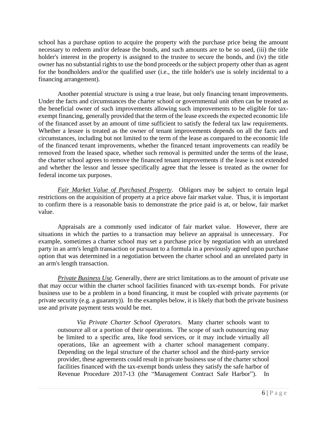school has a purchase option to acquire the property with the purchase price being the amount necessary to redeem and/or defease the bonds, and such amounts are to be so used, (iii) the title holder's interest in the property is assigned to the trustee to secure the bonds, and (iv) the title owner has no substantial rights to use the bond proceeds or the subject property other than as agent for the bondholders and/or the qualified user (i.e., the title holder's use is solely incidental to a financing arrangement).

Another potential structure is using a true lease, but only financing tenant improvements. Under the facts and circumstances the charter school or governmental unit often can be treated as the beneficial owner of such improvements allowing such improvements to be eligible for taxexempt financing, generally provided that the term of the lease exceeds the expected economic life of the financed asset by an amount of time sufficient to satisfy the federal tax law requirements. Whether a lessee is treated as the owner of tenant improvements depends on all the facts and circumstances, including but not limited to the term of the lease as compared to the economic life of the financed tenant improvements, whether the financed tenant improvements can readily be removed from the leased space, whether such removal is permitted under the terms of the lease, the charter school agrees to remove the financed tenant improvements if the lease is not extended and whether the lessor and lessee specifically agree that the lessee is treated as the owner for federal income tax purposes.

*Fair Market Value of Purchased Property*. Obligors may be subject to certain legal restrictions on the acquisition of property at a price above fair market value. Thus, it is important to confirm there is a reasonable basis to demonstrate the price paid is at, or below, fair market value.

Appraisals are a commonly used indicator of fair market value. However, there are situations in which the parties to a transaction may believe an appraisal is unnecessary. For example, sometimes a charter school may set a purchase price by negotiation with an unrelated party in an arm's length transaction or pursuant to a formula in a previously agreed upon purchase option that was determined in a negotiation between the charter school and an unrelated party in an arm's length transaction.

*Private Business Use.* Generally, there are strict limitations as to the amount of private use that may occur within the charter school facilities financed with tax-exempt bonds. For private business use to be a problem in a bond financing, it must be coupled with private payments (or private security (e.g. a guaranty)). In the examples below, it is likely that both the private business use and private payment tests would be met.

*Via Private Charter School Operators.* Many charter schools want to outsource all or a portion of their operations. The scope of such outsourcing may be limited to a specific area, like food services, or it may include virtually all operations, like an agreement with a charter school management company. Depending on the legal structure of the charter school and the third-party service provider, these agreements could result in private business use of the charter school facilities financed with the tax-exempt bonds unless they satisfy the safe harbor of Revenue Procedure 2017-13 (the "Management Contract Safe Harbor"). In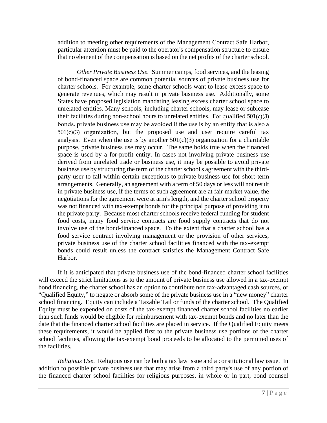addition to meeting other requirements of the Management Contract Safe Harbor, particular attention must be paid to the operator's compensation structure to ensure that no element of the compensation is based on the net profits of the charter school.

*Other Private Business Use.* Summer camps, food services, and the leasing of bond-financed space are common potential sources of private business use for charter schools. For example, some charter schools want to lease excess space to generate revenues, which may result in private business use. Additionally, some States have proposed legislation mandating leasing excess charter school space to unrelated entities. Many schools, including charter schools, may lease or sublease their facilities during non-school hours to unrelated entities. For qualified  $501(c)(3)$ bonds, private business use may be avoided if the use is by an entity that is also a  $501(c)(3)$  organization, but the proposed use and user require careful tax analysis. Even when the use is by another  $501(c)(3)$  organization for a charitable purpose, private business use may occur. The same holds true when the financed space is used by a for-profit entity. In cases not involving private business use derived from unrelated trade or business use, it may be possible to avoid private business use by structuring the term of the charter school's agreement with the thirdparty user to fall within certain exceptions to private business use for short-term arrangements. Generally, an agreement with a term of 50 days or less will not result in private business use, if the terms of such agreement are at fair market value, the negotiations for the agreement were at arm's length, and the charter school property was not financed with tax-exempt bonds for the principal purpose of providing it to the private party. Because most charter schools receive federal funding for student food costs, many food service contracts are food supply contracts that do not involve use of the bond-financed space. To the extent that a charter school has a food service contract involving management or the provision of other services, private business use of the charter school facilities financed with the tax-exempt bonds could result unless the contract satisfies the Management Contract Safe Harbor.

If it is anticipated that private business use of the bond-financed charter school facilities will exceed the strict limitations as to the amount of private business use allowed in a tax-exempt bond financing, the charter school has an option to contribute non tax-advantaged cash sources, or "Qualified Equity," to negate or absorb some of the private business use in a "new money" charter school financing. Equity can include a Taxable Tail or funds of the charter school. The Qualified Equity must be expended on costs of the tax-exempt financed charter school facilities no earlier than such funds would be eligible for reimbursement with tax-exempt bonds and no later than the date that the financed charter school facilities are placed in service. If the Qualified Equity meets these requirements, it would be applied first to the private business use portions of the charter school facilities, allowing the tax-exempt bond proceeds to be allocated to the permitted uses of the facilities.

*Religious Use*. Religious use can be both a tax law issue and a constitutional law issue. In addition to possible private business use that may arise from a third party's use of any portion of the financed charter school facilities for religious purposes, in whole or in part, bond counsel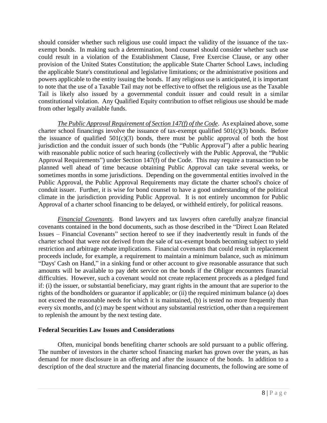should consider whether such religious use could impact the validity of the issuance of the taxexempt bonds. In making such a determination, bond counsel should consider whether such use could result in a violation of the Establishment Clause, Free Exercise Clause, or any other provision of the United States Constitution; the applicable State Charter School Laws, including the applicable State's constitutional and legislative limitations; or the administrative positions and powers applicable to the entity issuing the bonds. If any religious use is anticipated, it is important to note that the use of a Taxable Tail may not be effective to offset the religious use as the Taxable Tail is likely also issued by a governmental conduit issuer and could result in a similar constitutional violation. Any Qualified Equity contribution to offset religious use should be made from other legally available funds.

*The Public Approval Requirement of Section 147(f) of the Code*. As explained above, some charter school financings involve the issuance of tax-exempt qualified  $501(c)(3)$  bonds. Before the issuance of qualified  $501(c)(3)$  bonds, there must be public approval of both the host jurisdiction and the conduit issuer of such bonds (the "Public Approval") after a public hearing with reasonable public notice of such hearing (collectively with the Public Approval, the "Public Approval Requirements") under Section 147(f) of the Code. This may require a transaction to be planned well ahead of time because obtaining Public Approval can take several weeks, or sometimes months in some jurisdictions. Depending on the governmental entities involved in the Public Approval, the Public Approval Requirements may dictate the charter school's choice of conduit issuer. Further, it is wise for bond counsel to have a good understanding of the political climate in the jurisdiction providing Public Approval. It is not entirely uncommon for Public Approval of a charter school financing to be delayed, or withheld entirely, for political reasons.

*Financial Covenants*. Bond lawyers and tax lawyers often carefully analyze financial covenants contained in the bond documents, such as those described in the "Direct Loan Related Issues – Financial Covenants" section hereof to see if they inadvertently result in funds of the charter school that were not derived from the sale of tax-exempt bonds becoming subject to yield restriction and arbitrage rebate implications. Financial covenants that could result in replacement proceeds include, for example, a requirement to maintain a minimum balance, such as minimum "Days' Cash on Hand," in a sinking fund or other account to give reasonable assurance that such amounts will be available to pay debt service on the bonds if the Obligor encounters financial difficulties. However, such a covenant would not create replacement proceeds as a pledged fund if: (i) the issuer, or substantial beneficiary, may grant rights in the amount that are superior to the rights of the bondholders or guarantor if applicable; or (ii) the required minimum balance (a) does not exceed the reasonable needs for which it is maintained, (b) is tested no more frequently than every six months, and (c) may be spent without any substantial restriction, other than a requirement to replenish the amount by the next testing date.

### **Federal Securities Law Issues and Considerations**

Often, municipal bonds benefiting charter schools are sold pursuant to a public offering. The number of investors in the charter school financing market has grown over the years, as has demand for more disclosure in an offering and after the issuance of the bonds. In addition to a description of the deal structure and the material financing documents, the following are some of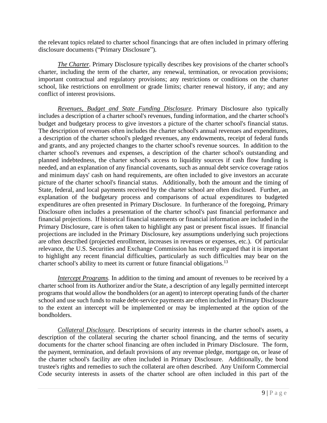the relevant topics related to charter school financings that are often included in primary offering disclosure documents ("Primary Disclosure").

*The Charter.* Primary Disclosure typically describes key provisions of the charter school's charter, including the term of the charter, any renewal, termination, or revocation provisions; important contractual and regulatory provisions; any restrictions or conditions on the charter school, like restrictions on enrollment or grade limits; charter renewal history, if any; and any conflict of interest provisions.

*Revenues, Budget and State Funding Disclosure.* Primary Disclosure also typically includes a description of a charter school's revenues, funding information, and the charter school's budget and budgetary process to give investors a picture of the charter school's financial status. The description of revenues often includes the charter school's annual revenues and expenditures, a description of the charter school's pledged revenues, any endowments, receipt of federal funds and grants, and any projected changes to the charter school's revenue sources. In addition to the charter school's revenues and expenses, a description of the charter school's outstanding and planned indebtedness, the charter school's access to liquidity sources if cash flow funding is needed, and an explanation of any financial covenants, such as annual debt service coverage ratios and minimum days' cash on hand requirements, are often included to give investors an accurate picture of the charter school's financial status. Additionally, both the amount and the timing of State, federal, and local payments received by the charter school are often disclosed. Further, an explanation of the budgetary process and comparisons of actual expenditures to budgeted expenditures are often presented in Primary Disclosure. In furtherance of the foregoing, Primary Disclosure often includes a presentation of the charter school's past financial performance and financial projections. If historical financial statements or financial information are included in the Primary Disclosure, care is often taken to highlight any past or present fiscal issues. If financial projections are included in the Primary Disclosure, key assumptions underlying such projections are often described (projected enrollment, increases in revenues or expenses, etc.). Of particular relevance, the U.S. Securities and Exchange Commission has recently argued that it is important to highlight any recent financial difficulties, particularly as such difficulties may bear on the charter school's ability to meet its current or future financial obligations.<sup>13</sup>

*Intercept Programs.* In addition to the timing and amount of revenues to be received by a charter school from its Authorizer and/or the State, a description of any legally permitted intercept programs that would allow the bondholders (or an agent) to intercept operating funds of the charter school and use such funds to make debt-service payments are often included in Primary Disclosure to the extent an intercept will be implemented or may be implemented at the option of the bondholders.

*Collateral Disclosure.* Descriptions of security interests in the charter school's assets, a description of the collateral securing the charter school financing, and the terms of security documents for the charter school financing are often included in Primary Disclosure. The form, the payment, termination, and default provisions of any revenue pledge, mortgage on, or lease of the charter school's facility are often included in Primary Disclosure. Additionally, the bond trustee's rights and remedies to such the collateral are often described. Any Uniform Commercial Code security interests in assets of the charter school are often included in this part of the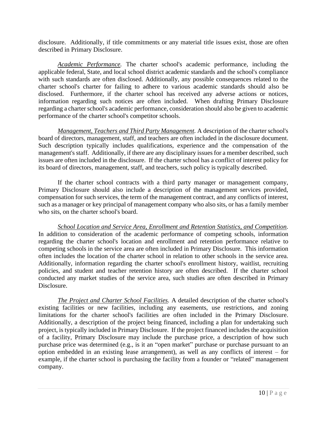disclosure. Additionally, if title commitments or any material title issues exist, those are often described in Primary Disclosure.

*Academic Performance.* The charter school's academic performance, including the applicable federal, State, and local school district academic standards and the school's compliance with such standards are often disclosed. Additionally, any possible consequences related to the charter school's charter for failing to adhere to various academic standards should also be disclosed. Furthermore, if the charter school has received any adverse actions or notices, information regarding such notices are often included. When drafting Primary Disclosure regarding a charter school's academic performance, consideration should also be given to academic performance of the charter school's competitor schools.

*Management, Teachers and Third Party Management.* A description of the charter school's board of directors, management, staff, and teachers are often included in the disclosure document. Such description typically includes qualifications, experience and the compensation of the management's staff. Additionally, if there are any disciplinary issues for a member described, such issues are often included in the disclosure. If the charter school has a conflict of interest policy for its board of directors, management, staff, and teachers, such policy is typically described.

If the charter school contracts with a third party manager or management company, Primary Disclosure should also include a description of the management services provided, compensation for such services, the term of the management contract, and any conflicts of interest, such as a manager or key principal of management company who also sits, or has a family member who sits, on the charter school's board.

*School Location and Service Area, Enrollment and Retention Statistics, and Competition.* In addition to consideration of the academic performance of competing schools, information regarding the charter school's location and enrollment and retention performance relative to competing schools in the service area are often included in Primary Disclosure. This information often includes the location of the charter school in relation to other schools in the service area. Additionally, information regarding the charter school's enrollment history, waitlist, recruiting policies, and student and teacher retention history are often described. If the charter school conducted any market studies of the service area, such studies are often described in Primary Disclosure.

*The Project and Charter School Facilities.* A detailed description of the charter school's existing facilities or new facilities, including any easements, use restrictions, and zoning limitations for the charter school's facilities are often included in the Primary Disclosure. Additionally, a description of the project being financed, including a plan for undertaking such project, is typically included in Primary Disclosure. If the project financed includes the acquisition of a facility, Primary Disclosure may include the purchase price, a description of how such purchase price was determined (e.g., is it an "open market" purchase or purchase pursuant to an option embedded in an existing lease arrangement), as well as any conflicts of interest – for example, if the charter school is purchasing the facility from a founder or "related" management company.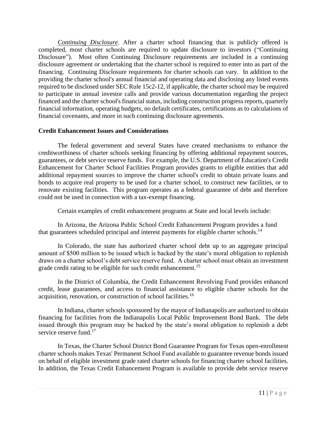*Continuing Disclosure.* After a charter school financing that is publicly offered is completed, most charter schools are required to update disclosure to investors ("Continuing Disclosure"). Most often Continuing Disclosure requirements are included in a continuing disclosure agreement or undertaking that the charter school is required to enter into as part of the financing. Continuing Disclosure requirements for charter schools can vary. In addition to the providing the charter school's annual financial and operating data and disclosing any listed events required to be disclosed under SEC Rule 15c2-12, if applicable, the charter school may be required to participate in annual investor calls and provide various documentation regarding the project financed and the charter school's financial status, including construction progress reports, quarterly financial information, operating budgets, no default certificates, certifications as to calculations of financial covenants, and more in such continuing disclosure agreements.

## **Credit Enhancement Issues and Considerations**

The federal government and several States have created mechanisms to enhance the creditworthiness of charter schools seeking financing by offering additional repayment sources, guarantees, or debt service reserve funds. For example, the U.S. Department of Education's Credit Enhancement for Charter School Facilities Program provides grants to eligible entities that add additional repayment sources to improve the charter school's credit to obtain private loans and bonds to acquire real property to be used for a charter school, to construct new facilities, or to renovate existing facilities. This program operates as a federal guarantee of debt and therefore could not be used in connection with a tax-exempt financing.

Certain examples of credit enhancement programs at State and local levels include:

In Arizona, the Arizona Public School Credit Enhancement Program provides a fund that guarantees scheduled principal and interest payments for eligible charter schools.<sup>14</sup>

In Colorado, the state has authorized charter school debt up to an aggregate principal amount of \$500 million to be issued which is backed by the state's moral obligation to replenish draws on a charter school's debt service reserve fund. A charter school must obtain an investment grade credit rating to be eligible for such credit enhancement.<sup>15</sup>

In the District of Columbia, the Credit Enhancement Revolving Fund provides enhanced credit, lease guarantees, and access to financial assistance to eligible charter schools for the acquisition, renovation, or construction of school facilities.<sup>16</sup>

In Indiana, charter schools sponsored by the mayor of Indianapolis are authorized to obtain financing for facilities from the Indianapolis Local Public Improvement Bond Bank. The debt issued through this program may be backed by the state's moral obligation to replenish a debt service reserve fund.<sup>17</sup>

In Texas, the Charter School District Bond Guarantee Program for Texas open-enrollment charter schools makes Texas' Permanent School Fund available to guarantee revenue bonds issued on behalf of eligible investment grade rated charter schools for financing charter school facilities. In addition, the Texas Credit Enhancement Program is available to provide debt service reserve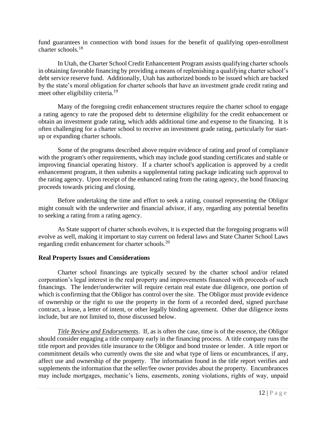fund guarantees in connection with bond issues for the benefit of qualifying open-enrollment charter schools. 18

In Utah, the Charter School Credit Enhancement Program assists qualifying charter schools in obtaining favorable financing by providing a means of replenishing a qualifying charter school's debt service reserve fund. Additionally, Utah has authorized bonds to be issued which are backed by the state's moral obligation for charter schools that have an investment grade credit rating and meet other eligibility criteria.<sup>19</sup>

Many of the foregoing credit enhancement structures require the charter school to engage a rating agency to rate the proposed debt to determine eligibility for the credit enhancement or obtain an investment grade rating, which adds additional time and expense to the financing. It is often challenging for a charter school to receive an investment grade rating, particularly for startup or expanding charter schools.

Some of the programs described above require evidence of rating and proof of compliance with the program's other requirements, which may include good standing certificates and stable or improving financial operating history. If a charter school's application is approved by a credit enhancement program, it then submits a supplemental rating package indicating such approval to the rating agency. Upon receipt of the enhanced rating from the rating agency, the bond financing proceeds towards pricing and closing.

Before undertaking the time and effort to seek a rating, counsel representing the Obligor might consult with the underwriter and financial advisor, if any, regarding any potential benefits to seeking a rating from a rating agency.

As State support of charter schools evolves, it is expected that the foregoing programs will evolve as well, making it important to stay current on federal laws and State Charter School Laws regarding credit enhancement for charter schools.<sup>20</sup>

### **Real Property Issues and Considerations**

Charter school financings are typically secured by the charter school and/or related corporation's legal interest in the real property and improvements financed with proceeds of such financings. The lender/underwriter will require certain real estate due diligence, one portion of which is confirming that the Obligor has control over the site. The Obligor must provide evidence of ownership or the right to use the property in the form of a recorded deed, signed purchase contract, a lease, a letter of intent, or other legally binding agreement. Other due diligence items include, but are not limited to, those discussed below.

*Title Review and Endorsements*. If, as is often the case, time is of the essence, the Obligor should consider engaging a title company early in the financing process. A title company runs the title report and provides title insurance to the Obligor and bond trustee or lender. A title report or commitment details who currently owns the site and what type of liens or encumbrances, if any, affect use and ownership of the property. The information found in the title report verifies and supplements the information that the seller/fee owner provides about the property. Encumbrances may include mortgages, mechanic's liens, easements, zoning violations, rights of way, unpaid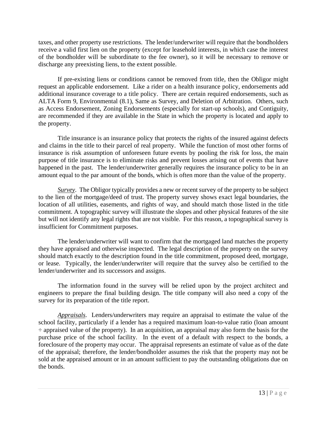taxes, and other property use restrictions. The lender/underwriter will require that the bondholders receive a valid first lien on the property (except for leasehold interests, in which case the interest of the bondholder will be subordinate to the fee owner), so it will be necessary to remove or discharge any preexisting liens, to the extent possible.

If pre-existing liens or conditions cannot be removed from title, then the Obligor might request an applicable endorsement. Like a rider on a health insurance policy, endorsements add additional insurance coverage to a title policy. There are certain required endorsements, such as ALTA Form 9, Environmental (8.1), Same as Survey, and Deletion of Arbitration. Others, such as Access Endorsement, Zoning Endorsements (especially for start-up schools), and Contiguity, are recommended if they are available in the State in which the property is located and apply to the property.

Title insurance is an insurance policy that protects the rights of the insured against defects and claims in the title to their parcel of real property. While the function of most other forms of insurance is risk assumption of unforeseen future events by pooling the risk for loss, the main purpose of title insurance is to eliminate risks and prevent losses arising out of events that have happened in the past. The lender/underwriter generally requires the insurance policy to be in an amount equal to the par amount of the bonds, which is often more than the value of the property.

*Survey*. The Obligor typically provides a new or recent survey of the property to be subject to the lien of the mortgage/deed of trust. The property survey shows exact legal boundaries, the location of all utilities, easements, and rights of way, and should match those listed in the title commitment. A topographic survey will illustrate the slopes and other physical features of the site but will not identify any legal rights that are not visible. For this reason, a topographical survey is insufficient for Commitment purposes.

The lender/underwriter will want to confirm that the mortgaged land matches the property they have appraised and otherwise inspected. The legal description of the property on the survey should match exactly to the description found in the title commitment, proposed deed, mortgage, or lease. Typically, the lender/underwriter will require that the survey also be certified to the lender/underwriter and its successors and assigns.

The information found in the survey will be relied upon by the project architect and engineers to prepare the final building design. The title company will also need a copy of the survey for its preparation of the title report.

*Appraisals*. Lenders/underwriters may require an appraisal to estimate the value of the school facility, particularly if a lender has a required maximum loan-to-value ratio (loan amount  $\div$  appraised value of the property). In an acquisition, an appraisal may also form the basis for the purchase price of the school facility. In the event of a default with respect to the bonds, a foreclosure of the property may occur. The appraisal represents an estimate of value as of the date of the appraisal; therefore, the lender/bondholder assumes the risk that the property may not be sold at the appraised amount or in an amount sufficient to pay the outstanding obligations due on the bonds.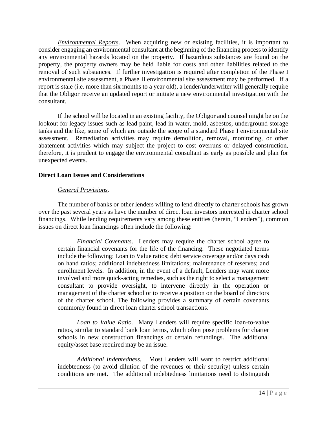*Environmental Reports*. When acquiring new or existing facilities, it is important to consider engaging an environmental consultant at the beginning of the financing process to identify any environmental hazards located on the property. If hazardous substances are found on the property, the property owners may be held liable for costs and other liabilities related to the removal of such substances. If further investigation is required after completion of the Phase I environmental site assessment, a Phase II environmental site assessment may be performed. If a report is stale (i.e. more than six months to a year old), a lender/underwriter will generally require that the Obligor receive an updated report or initiate a new environmental investigation with the consultant.

If the school will be located in an existing facility, the Obligor and counsel might be on the lookout for legacy issues such as lead paint, lead in water, mold, asbestos, underground storage tanks and the like, some of which are outside the scope of a standard Phase I environmental site assessment. Remediation activities may require demolition, removal, monitoring, or other abatement activities which may subject the project to cost overruns or delayed construction, therefore, it is prudent to engage the environmental consultant as early as possible and plan for unexpected events.

## **Direct Loan Issues and Considerations**

## *General Provisions.*

The number of banks or other lenders willing to lend directly to charter schools has grown over the past several years as have the number of direct loan investors interested in charter school financings. While lending requirements vary among these entities (herein, "Lenders"), common issues on direct loan financings often include the following:

*Financial Covenants*. Lenders may require the charter school agree to certain financial covenants for the life of the financing. These negotiated terms include the following: Loan to Value ratios; debt service coverage and/or days cash on hand ratios; additional indebtedness limitations; maintenance of reserves; and enrollment levels. In addition, in the event of a default, Lenders may want more involved and more quick-acting remedies, such as the right to select a management consultant to provide oversight, to intervene directly in the operation or management of the charter school or to receive a position on the board of directors of the charter school. The following provides a summary of certain covenants commonly found in direct loan charter school transactions.

*Loan to Value Ratio.* Many Lenders will require specific loan-to-value ratios, similar to standard bank loan terms, which often pose problems for charter schools in new construction financings or certain refundings. The additional equity/asset base required may be an issue.

*Additional Indebtedness.* Most Lenders will want to restrict additional indebtedness (to avoid dilution of the revenues or their security) unless certain conditions are met. The additional indebtedness limitations need to distinguish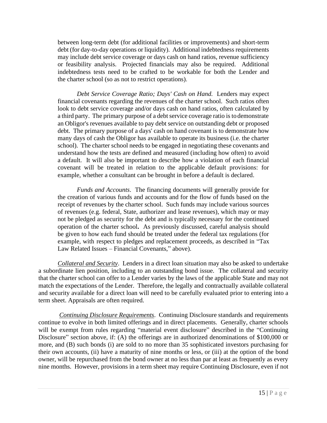between long-term debt (for additional facilities or improvements) and short-term debt (for day-to-day operations or liquidity). Additional indebtedness requirements may include debt service coverage or days cash on hand ratios, revenue sufficiency or feasibility analysis. Projected financials may also be required. Additional indebtedness tests need to be crafted to be workable for both the Lender and the charter school (so as not to restrict operations).

*Debt Service Coverage Ratio; Days' Cash on Hand.* Lenders may expect financial covenants regarding the revenues of the charter school. Such ratios often look to debt service coverage and/or days cash on hand ratios, often calculated by a third party. The primary purpose of a debt service coverage ratio is to demonstrate an Obligor's revenues available to pay debt service on outstanding debt or proposed debt. The primary purpose of a days' cash on hand covenant is to demonstrate how many days of cash the Obligor has available to operate its business (i.e. the charter school). The charter school needs to be engaged in negotiating these covenants and understand how the tests are defined and measured (including how often) to avoid a default. It will also be important to describe how a violation of each financial covenant will be treated in relation to the applicable default provisions: for example, whether a consultant can be brought in before a default is declared.

*Funds and Accounts*. The financing documents will generally provide for the creation of various funds and accounts and for the flow of funds based on the receipt of revenues by the charter school. Such funds may include various sources of revenues (e.g. federal, State, authorizer and lease revenues), which may or may not be pledged as security for the debt and is typically necessary for the continued operation of the charter school**.** As previously discussed, careful analysis should be given to how each fund should be treated under the federal tax regulations (for example, with respect to pledges and replacement proceeds, as described in "Tax Law Related Issues – Financial Covenants," above).

*Collateral and Security*. Lenders in a direct loan situation may also be asked to undertake a subordinate lien position, including to an outstanding bond issue. The collateral and security that the charter school can offer to a Lender varies by the laws of the applicable State and may not match the expectations of the Lender. Therefore, the legally and contractually available collateral and security available for a direct loan will need to be carefully evaluated prior to entering into a term sheet. Appraisals are often required.

*Continuing Disclosure Requirements*. Continuing Disclosure standards and requirements continue to evolve in both limited offerings and in direct placements. Generally, charter schools will be exempt from rules regarding "material event disclosure" described in the "Continuing Disclosure" section above, if: (A) the offerings are in authorized denominations of \$100,000 or more, and (B) such bonds (i) are sold to no more than 35 sophisticated investors purchasing for their own accounts, (ii) have a maturity of nine months or less, or (iii) at the option of the bond owner, will be repurchased from the bond owner at no less than par at least as frequently as every nine months. However, provisions in a term sheet may require Continuing Disclosure, even if not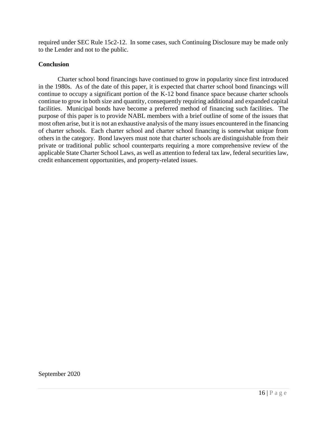required under SEC Rule 15c2-12. In some cases, such Continuing Disclosure may be made only to the Lender and not to the public.

## **Conclusion**

Charter school bond financings have continued to grow in popularity since first introduced in the 1980s. As of the date of this paper, it is expected that charter school bond financings will continue to occupy a significant portion of the K-12 bond finance space because charter schools continue to grow in both size and quantity, consequently requiring additional and expanded capital facilities. Municipal bonds have become a preferred method of financing such facilities. The purpose of this paper is to provide NABL members with a brief outline of some of the issues that most often arise, but it is not an exhaustive analysis of the many issues encountered in the financing of charter schools. Each charter school and charter school financing is somewhat unique from others in the category. Bond lawyers must note that charter schools are distinguishable from their private or traditional public school counterparts requiring a more comprehensive review of the applicable State Charter School Laws, as well as attention to federal tax law, federal securities law, credit enhancement opportunities, and property-related issues.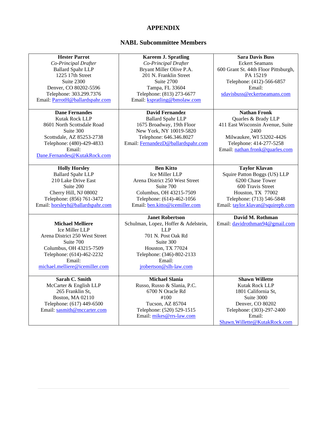# **APPENDIX**

# **NABL Subcommittee Members**

| <b>Hester Parrot</b>             | <b>Kareem J. Spratling</b>           | <b>Sara Davis Buss</b>               |
|----------------------------------|--------------------------------------|--------------------------------------|
| Co-Principal Drafter             | Co-Principal Drafter                 | <b>Eckert Seamans</b>                |
| <b>Ballard Spahr LLP</b>         | Bryant Miller Olive P.A.             | 600 Grant St. 44th Floor Pittsburgh, |
| 1225 17th Street                 | 201 N. Franklin Street               | PA 15219                             |
| Suite 2300                       | Suite 2700                           | Telephone: (412)-566-6857            |
| Denver, CO 80202-5596            | Tampa, FL 33604                      | Email:                               |
| Telephone: 303.299.7376          | Telephone: (813) 273-6677            | sdavisbuss@eckertseamans.com         |
| Email: ParrotH@ballardspahr.com  | Email: kspratling@bmolaw.com         |                                      |
|                                  |                                      |                                      |
| <b>Dane Fernandes</b>            | <b>David Fernandez</b>               | <b>Nathan Fronk</b>                  |
| Kutak Rock LLP                   | <b>Ballard Spahr LLP</b>             | Quarles & Brady LLP                  |
| 8601 North Scottsdale Road       | 1675 Broadway, 19th Floor            | 411 East Wisconsin Avenue, Suite     |
| Suite 300                        | New York, NY 10019-5820              | 2400                                 |
| Scottsdale, AZ 85253-2738        | Telephone: 646.346.8027              | Milwaukee, WI 53202-4426             |
| Telephone: (480)-429-4833        | Email: FernandezD@ballardspahr.com   | Telephone: 414-277-5258              |
| Email:                           |                                      | Email: nathan.fronk@quarles.com      |
| Dane.Fernandes@KutakRock.com     |                                      |                                      |
|                                  |                                      |                                      |
| <b>Holly Horsley</b>             | <b>Ben Kitto</b>                     | <b>Taylor Klavan</b>                 |
| <b>Ballard Spahr LLP</b>         | Ice Miller LLP                       | Squire Patton Boggs (US) LLP         |
| 210 Lake Drive East              | Arena District 250 West Street       | 6200 Chase Tower                     |
| Suite 200                        | Suite 700                            | 600 Travis Street                    |
| Cherry Hill, NJ 08002            | Columbus, OH 43215-7509              | Houston, TX 77002                    |
| Telephone: (856) 761-3472        | Telephone: (614)-462-1056            | Telephone: (713) 546-5848            |
| Email: horsleyh@ballardspahr.com | Email: ben.kitto@icemiller.com       | Email: taylor.klavan@squirepb.com    |
|                                  |                                      |                                      |
|                                  | <b>Janet Robertson</b>               | David M. Rothman                     |
| <b>Michael Melliere</b>          | Schulman, Lopez, Hoffer & Adelstein, | Email: davidrothman94@gmail.com      |
| Ice Miller LLP                   | <b>LLP</b>                           |                                      |
| Arena District 250 West Street   | 701 N. Post Oak Rd                   |                                      |
| Suite 700                        | Suite 300                            |                                      |
| Columbus, OH 43215-7509          | Houston, TX 77024                    |                                      |
| Telephone: (614)-462-2232        | Telephone: (346)-802-2133            |                                      |
| Email:                           | Email:                               |                                      |
| michael.melliere@icemiller.com   | jrobertson@slh-law.com               |                                      |
|                                  |                                      |                                      |
| Sarah C. Smith                   | <b>Michael Slania</b>                | <b>Shawn Willette</b>                |
| McCarter & English LLP           | Russo, Russo & Slania, P.C.          | Kutak Rock LLP                       |
| 265 Franklin St,                 | 6700 N Oracle Rd                     | 1801 California St,                  |
| Boston, MA 02110                 | #100                                 | Suite 3000                           |
| Telephone: (617) 449-6500        | Tucson, AZ 85704                     | Denver, CO 80202                     |
| Email: sasmith@mccarter.com      | Telephone: (520) 529-1515            | Telephone: (303)-297-2400            |
|                                  | Email: mikes@rrs-law.com             | Email:                               |
|                                  |                                      | Shawn.Willette@KutakRock.com         |